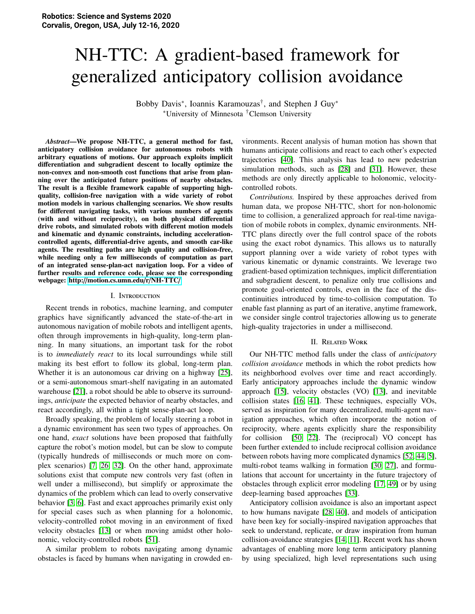# NH-TTC: A gradient-based framework for generalized anticipatory collision avoidance

Bobby Davis<sup>∗</sup>, Ioannis Karamouzas<sup>†</sup>, and Stephen J Guy<sup>∗</sup> <sup>∗</sup>University of Minnesota †Clemson University

*Abstract*—We propose NH-TTC, a general method for fast, anticipatory collision avoidance for autonomous robots with arbitrary equations of motions. Our approach exploits implicit differentiation and subgradient descent to locally optimize the non-convex and non-smooth cost functions that arise from planning over the anticipated future positions of nearby obstacles. The result is a flexible framework capable of supporting highquality, collision-free navigation with a wide variety of robot motion models in various challenging scenarios. We show results for different navigating tasks, with various numbers of agents (with and without reciprocity), on both physical differential drive robots, and simulated robots with different motion models and kinematic and dynamic constraints, including accelerationcontrolled agents, differential-drive agents, and smooth car-like agents. The resulting paths are high quality and collision-free, while needing only a few milliseconds of computation as part of an integrated sense-plan-act navigation loop. For a video of further results and reference code, please see the corresponding webpage: http://[motion.cs.umn.edu](http://motion.cs.umn.edu/r/NH-TTC/)/r/NH-TTC/

#### I. Introduction

Recent trends in robotics, machine learning, and computer graphics have significantly advanced the state-of-the-art in autonomous navigation of mobile robots and intelligent agents, often through improvements in high-quality, long-term planning. In many situations, an important task for the robot is to *immediately react* to its local surroundings while still making its best effort to follow its global, long-term plan. Whether it is an autonomous car driving on a highway [\[25\]](#page-8-0), or a semi-autonomous smart-shelf navigating in an automated warehouse [\[21\]](#page-8-1), a robot should be able to observe its surroundings, *anticipate* the expected behavior of nearby obstacles, and react accordingly, all within a tight sense-plan-act loop.

Broadly speaking, the problem of locally steering a robot in a dynamic environment has seen two types of approaches. On one hand, *exact* solutions have been proposed that faithfully capture the robot's motion model, but can be slow to compute (typically hundreds of milliseconds or much more on complex scenarios) [\[7,](#page-8-2) [26,](#page-8-3) [32\]](#page-9-0). On the other hand, approximate solutions exist that compute new controls very fast (often in well under a millisecond), but simplify or approximate the dynamics of the problem which can lead to overly conservative behavior [\[3,](#page-8-4) [6\]](#page-8-5). Fast and exact approaches primarily exist only for special cases such as when planning for a holonomic, velocity-controlled robot moving in an environment of fixed velocity obstacles [\[13\]](#page-8-6) or when moving amidst other holonomic, velocity-controlled robots [\[51\]](#page-9-1).

A similar problem to robots navigating among dynamic obstacles is faced by humans when navigating in crowded environments. Recent analysis of human motion has shown that humans anticipate collisions and react to each other's expected trajectories [\[40\]](#page-9-2). This analysis has lead to new pedestrian simulation methods, such as [\[28\]](#page-8-7) and [\[31\]](#page-9-3). However, these methods are only directly applicable to holonomic, velocitycontrolled robots.

*Contributions.* Inspired by these approaches derived from human data, we propose NH-TTC, short for non-holonomic time to collision, a generalized approach for real-time navigation of mobile robots in complex, dynamic environments. NH-TTC plans directly over the full control space of the robots using the exact robot dynamics. This allows us to naturally support planning over a wide variety of robot types with various kinematic or dynamic constraints. We leverage two gradient-based optimization techniques, implicit differentiation and subgradient descent, to penalize only true collisions and promote goal-oriented controls, even in the face of the discontinuities introduced by time-to-collision computation. To enable fast planning as part of an iterative, anytime framework, we consider single control trajectories allowing us to generate high-quality trajectories in under a millisecond.

## II. Related Work

Our NH-TTC method falls under the class of *anticipatory collision avoidance* methods in which the robot predicts how its neighborhood evolves over time and react accordingly. Early anticipatory approaches include the dynamic window approach [\[15\]](#page-8-8), velocity obstacles (VO) [\[13\]](#page-8-6), and inevitable collision states [\[16,](#page-8-9) [41\]](#page-9-4). These techniques, especially VOs, served as inspiration for many decentralized, multi-agent navigation approaches, which often incorporate the notion of reciprocity, where agents explicitly share the responsibility for collision [\[50,](#page-9-5) [22\]](#page-8-10). The (reciprocal) VO concept has been further extended to include reciprocal collision avoidance between robots having more complicated dynamics [\[52,](#page-9-6) [44,](#page-9-7) [5\]](#page-8-11), multi-robot teams walking in formation [\[30,](#page-9-8) [27\]](#page-8-12), and formulations that account for uncertainty in the future trajectory of obstacles through explicit error modeling [\[17,](#page-8-13) [49\]](#page-9-9) or by using deep-learning based approaches [\[33\]](#page-9-10).

Anticipatory collision avoidance is also an important aspect to how humans navigate [\[28,](#page-8-7) [40\]](#page-9-2), and models of anticipation have been key for socially-inspired navigation approaches that seek to understand, replicate, or draw inspiration from human collision-avoidance strategies [\[14,](#page-8-14) [11\]](#page-8-15). Recent work has shown advantages of enabling more long term anticipatory planning by using specialized, high level representations such using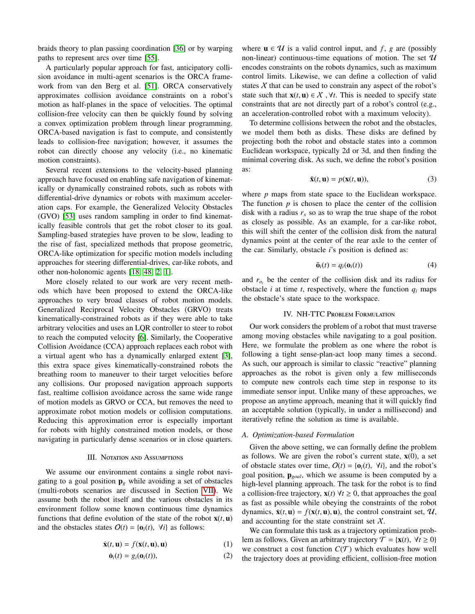braids theory to plan passing coordination [\[36\]](#page-9-11) or by warping paths to represent arcs over time [\[55\]](#page-9-12).

A particularly popular approach for fast, anticipatory collision avoidance in multi-agent scenarios is the ORCA framework from van den Berg et al. [\[51\]](#page-9-1). ORCA conservatively approximates collision avoidance constraints on a robot's motion as half-planes in the space of velocities. The optimal collision-free velocity can then be quickly found by solving a convex optimization problem through linear programming. ORCA-based navigation is fast to compute, and consistently leads to collision-free navigation; however, it assumes the robot can directly choose any velocity (i.e., no kinematic motion constraints).

Several recent extensions to the velocity-based planning approach have focused on enabling safe navigation of kinematically or dynamically constrained robots, such as robots with differential-drive dynamics or robots with maximum acceleration caps. For example, the Generalized Velocity Obstacles (GVO) [\[53\]](#page-9-13) uses random sampling in order to find kinematically feasible controls that get the robot closer to its goal. Sampling-based strategies have proven to be slow, leading to the rise of fast, specialized methods that propose geometric, ORCA-like optimization for specific motion models including approaches for steering differential-drives, car-like robots, and other non-holonomic agents [\[18,](#page-8-16) [48,](#page-9-14) [2,](#page-8-17) [1\]](#page-8-18).

More closely related to our work are very recent methods which have been proposed to extend the ORCA-like approaches to very broad classes of robot motion models. Generalized Reciprocal Velocity Obstacles (GRVO) treats kinematically-constrained robots as if they were able to take arbitrary velocities and uses an LQR controller to steer to robot to reach the computed velocity [\[6\]](#page-8-5). Similarly, the Cooperative Collision Avoidance (CCA) approach replaces each robot with a virtual agent who has a dynamically enlarged extent [\[3\]](#page-8-4), this extra space gives kinematically-constrained robots the breathing room to maneuver to their target velocities before any collisions. Our proposed navigation approach supports fast, realtime collision avoidance across the same wide range of motion models as GRVO or CCA, but removes the need to approximate robot motion models or collision computations. Reducing this approximation error is especially important for robots with highly constrained motion models, or those navigating in particularly dense scenarios or in close quarters.

#### III. NOTATION AND ASSUMPTIONS

We assume our environment contains a single robot navigating to a goal position  $\mathbf{p}_g$  while avoiding a set of obstacles (multi-robots scenarios are discussed in Section [VII\)](#page-6-0). We assume both the robot itself and the various obstacles in its environment follow some known continuous time dynamics functions that define evolution of the state of the robot  $\mathbf{x}(t, \mathbf{u})$ and the obstacles states  $O(t) = \{o_i(t), \forall i\}$  as follows:

$$
\dot{\mathbf{x}}(t, \mathbf{u}) = f(\mathbf{x}(t, \mathbf{u}), \mathbf{u}) \tag{1}
$$

$$
\dot{\mathbf{o}}_i(t) = g_i(\mathbf{o}_i(t)),\tag{2}
$$

where  $\mathbf{u} \in \mathcal{U}$  is a valid control input, and f, g are (possibly non-linear) continuous-time equations of motion. The set  $\mathcal U$ encodes constraints on the robots dynamics, such as maximum control limits. Likewise, we can define a collection of valid states  $X$  that can be used to constrain any aspect of the robot's state such that  $\mathbf{x}(t, \mathbf{u}) \in \mathcal{X}$ ,  $\forall t$ . This is needed to specify state constraints that are not directly part of a robot's control (e.g., an acceleration-controlled robot with a maximum velocity).

To determine collisions between the robot and the obstacles, we model them both as disks. These disks are defined by projecting both the robot and obstacle states into a common Euclidean workspace, typically 2d or 3d, and then finding the minimal covering disk. As such, we define the robot's position as:

$$
\bar{\mathbf{x}}(t, \mathbf{u}) = p(\mathbf{x}(t, \mathbf{u})),
$$
\n(3)

<span id="page-1-0"></span>where *p* maps from state space to the Euclidean workspace. The function  $p$  is chosen to place the center of the collision disk with a radius  $r_x$  so as to wrap the true shape of the robot as closely as possible. As an example, for a car-like robot, this will shift the center of the collision disk from the natural dynamics point at the center of the rear axle to the center of the car. Similarly, obstacle *i*'s position is defined as:

<span id="page-1-1"></span>
$$
\bar{\mathbf{o}}_i(t) = q_i(\mathbf{o}_i(t)) \tag{4}
$$

and  $r_{o_i}$  be the center of the collision disk and its radius for obstacle *i* at time *t*, respectively, where the function  $q_i$  maps the obstacle's state space to the workspace.

# IV. NH-TTC Problem Formulation

Our work considers the problem of a robot that must traverse among moving obstacles while navigating to a goal position. Here, we formulate the problem as one where the robot is following a tight sense-plan-act loop many times a second. As such, our approach is similar to classic "reactive" planning approaches as the robot is given only a few milliseconds to compute new controls each time step in response to its immediate sensor input. Unlike many of these approaches, we propose an anytime approach, meaning that it will quickly find an acceptable solution (typically, in under a millisecond) and iteratively refine the solution as time is available.

## *A. Optimization-based Formulation*

Given the above setting, we can formally define the problem as follows. We are given the robot's current state,  $\mathbf{x}(0)$ , a set of obstacle states over time,  $O(t) = \{o_i(t), \forall i\}$ , and the robot's goal position, p*goal*, which we assume is been computed by a high-level planning approach. The task for the robot is to find a collision-free trajectory,  $\mathbf{x}(t)$   $\forall t \geq 0$ , that approaches the goal as fast as possible while obeying the constraints of the robot dynamics,  $\dot{\mathbf{x}}(t, \mathbf{u}) = f(\mathbf{x}(t, \mathbf{u}), \mathbf{u})$ , the control constraint set,  $\mathcal{U}$ , and accounting for the state constraint set  $X$ .

We can formulate this task as a trajectory optimization problem as follows. Given an arbitrary trajectory  $\mathcal{T} = \{x(t), \forall t \geq 0\}$ we construct a cost function  $C(\mathcal{T})$  which evaluates how well the trajectory does at providing efficient, collision-free motion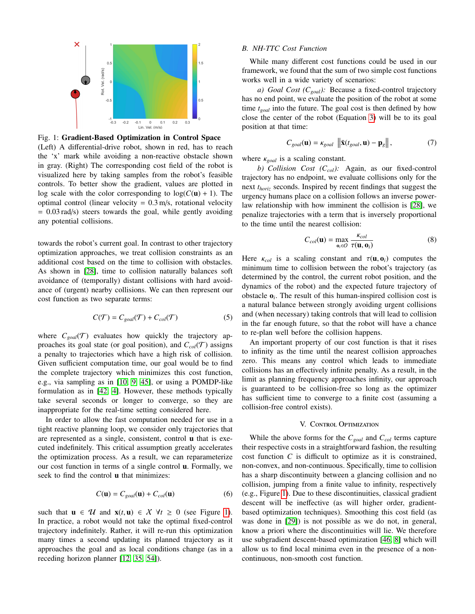<span id="page-2-0"></span>

Fig. 1: Gradient-Based Optimization in Control Space

(Left) A differential-drive robot, shown in red, has to reach the 'x' mark while avoiding a non-reactive obstacle shown in gray. (Right) The corresponding cost field of the robot is visualized here by taking samples from the robot's feasible controls. To better show the gradient, values are plotted in log scale with the color corresponding to  $log(C(u) + 1)$ . The optimal control (linear velocity  $= 0.3$  m/s, rotational velocity  $= 0.03$  rad/s) steers towards the goal, while gently avoiding any potential collisions.

towards the robot's current goal. In contrast to other trajectory optimization approaches, we treat collision constraints as an additional cost based on the time to collision with obstacles. As shown in [\[28\]](#page-8-7), time to collision naturally balances soft avoidance of (temporally) distant collisions with hard avoidance of (urgent) nearby collisions. We can then represent our cost function as two separate terms:

$$
C(\mathcal{T}) = C_{goal}(\mathcal{T}) + C_{col}(\mathcal{T})
$$
 (5)

where  $C_{goal}(\mathcal{T})$  evaluates how quickly the trajectory approaches its goal state (or goal position), and  $C_{col}(\mathcal{T})$  assigns a penalty to trajectories which have a high risk of collision. Given sufficient computation time, our goal would be to find the complete trajectory which minimizes this cost function, e.g., via sampling as in [\[10,](#page-8-19) [9,](#page-8-20) [45\]](#page-9-15), or using a POMDP-like formulation as in [\[42,](#page-9-16) [4\]](#page-8-21). However, these methods typically take several seconds or longer to converge, so they are inappropriate for the real-time setting considered here.

In order to allow the fast computation needed for use in a tight reactive planning loop, we consider only trajectories that are represented as a single, consistent, control u that is executed indefinitely. This critical assumption greatly accelerates the optimization process. As a result, we can reparameterize our cost function in terms of a single control u. Formally, we seek to find the control **u** that minimizes:

$$
C(\mathbf{u}) = C_{goal}(\mathbf{u}) + C_{col}(\mathbf{u})
$$
 (6)

such that  $\mathbf{u} \in \mathcal{U}$  and  $\mathbf{x}(t, \mathbf{u}) \in \mathcal{X}$   $\forall t \geq 0$  (see Figure [1\)](#page-2-0). In practice, a robot would not take the optimal fixed-control trajectory indefinitely. Rather, it will re-run this optimization many times a second updating its planned trajectory as it approaches the goal and as local conditions change (as in a receding horizon planner [\[12,](#page-8-22) [35,](#page-9-17) [54\]](#page-9-18)).

## *B. NH-TTC Cost Function*

While many different cost functions could be used in our framework, we found that the sum of two simple cost functions works well in a wide variety of scenarios:

*a) Goal Cost (Cgoal):* Because a fixed-control trajectory has no end point, we evaluate the position of the robot at some time *tgoal* into the future. The goal cost is then defined by how close the center of the robot (Equation [3\)](#page-1-0) will be to its goal position at that time:

<span id="page-2-2"></span>
$$
C_{goal}(\mathbf{u}) = \kappa_{goal} \|\bar{\mathbf{x}}(t_{goal}, \mathbf{u}) - \mathbf{p}_{g}\|,
$$
 (7)

where <sup>κ</sup>*goal* is a scaling constant.

*b) Collision Cost (Ccol):* Again, as our fixed-control trajectory has no endpoint, we evaluate collisions only for the next *thoriz* seconds. Inspired by recent findings that suggest the urgency humans place on a collision follows an inverse powerlaw relationship with how imminent the collision is [\[28\]](#page-8-7), we penalize trajectories with a term that is inversely proportional to the time until the nearest collision:

<span id="page-2-3"></span>
$$
C_{col}(\mathbf{u}) = \max_{\mathbf{o}_i \in \mathcal{O}} \frac{\kappa_{col}}{\tau(\mathbf{u}, \mathbf{o}_i)}
$$
(8)

Here  $\kappa_{col}$  is a scaling constant and  $\tau(\mathbf{u}, \mathbf{o}_i)$  computes the minimum time to collision between the robot's trajectory (as determined by the control, the current robot position, and the dynamics of the robot) and the expected future trajectory of obstacle o*<sup>i</sup>* . The result of this human-inspired collision cost is a natural balance between strongly avoiding urgent collisions and (when necessary) taking controls that will lead to collision in the far enough future, so that the robot will have a chance to re-plan well before the collision happens.

An important property of our cost function is that it rises to infinity as the time until the nearest collision approaches zero. This means any control which leads to immediate collisions has an effectively infinite penalty. As a result, in the limit as planning frequency approaches infinity, our approach is guaranteed to be collision-free so long as the optimizer has sufficient time to converge to a finite cost (assuming a collision-free control exists).

## V. CONTROL OPTIMIZATION

<span id="page-2-1"></span>While the above forms for the  $C_{goal}$  and  $C_{col}$  terms capture their respective costs in a straightforward fashion, the resulting cost function *C* is difficult to optimize as it is constrained, non-convex, and non-continuous. Specifically, time to collision has a sharp discontinuity between a glancing collision and no collision, jumping from a finite value to infinity, respectively (e.g., Figure [1\)](#page-2-0). Due to these discontinuities, classical gradient descent will be ineffective (as will higher order, gradientbased optimization techniques). Smoothing this cost field (as was done in [\[29\]](#page-8-23)) is not possible as we do not, in general, know a priori where the discontinuities will lie. We therefore use subgradient descent-based optimization [\[46,](#page-9-19) [8\]](#page-8-24) which will allow us to find local minima even in the presence of a noncontinuous, non-smooth cost function.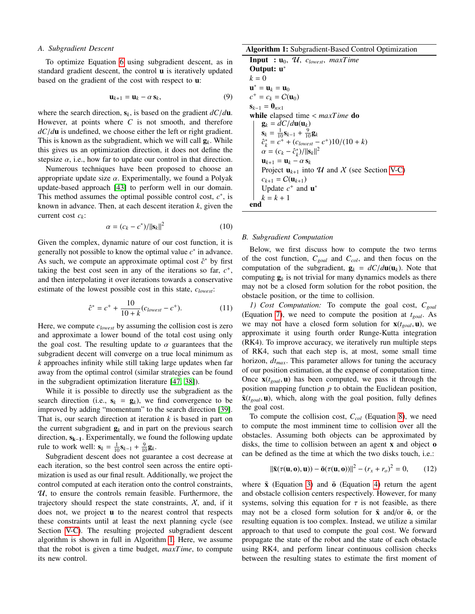## *A. Subgradient Descent*

To optimize Equation [6](#page-2-1) using subgradient descent, as in standard gradient descent, the control **u** is iteratively updated based on the gradient of the cost with respect to u:

$$
\mathbf{u}_{k+1} = \mathbf{u}_k - \alpha \, \mathbf{s}_k,\tag{9}
$$

where the search direction,  $s_k$ , is based on the gradient  $dC/d\mathbf{u}$ . However, at points where *C* is not smooth, and therefore *dC*/*d*<sup>u</sup> is undefined, we choose either the left or right gradient. This is known as the subgradient, which we will call  $g_k$ . While this gives us an optimization direction, it does not define the stepsize  $\alpha$ , i.e., how far to update our control in that direction.

Numerous techniques have been proposed to choose an appropriate update size  $\alpha$ . Experimentally, we found a Polyak update-based approach [\[43\]](#page-9-20) to perform well in our domain. This method assumes the optimal possible control cost,  $c^*$ , is known in advance. Then, at each descent iteration *k*, given the current cost *ck*:

$$
\alpha = (c_k - c^*) / ||\mathbf{s}_k||^2 \tag{10}
$$

Given the complex, dynamic nature of our cost function, it is generally not possible to know the optimal value  $c^*$  in advance. As such, we compute an approximate optimal cost  $\hat{c}^*$  by first taking the best cost seen in any of the iterations so far,  $c^+$ , and then interpolating it over iterations towards a conservative estimate of the lowest possible cost in this state, *clowest*:

$$
\hat{c}^* = c^+ + \frac{10}{10 + k}(c_{lowest} - c^+).
$$
 (11)

Here, we compute *clowest* by assuming the collision cost is zero and approximate a lower bound of the total cost using only the goal cost. The resulting update to  $\alpha$  guarantees that the subgradient decent will converge on a true local minimum as *k* approaches infinity while still taking large updates when far away from the optimal control (similar strategies can be found in the subgradient optimization literature [\[47,](#page-9-21) [38\]](#page-9-22)).

While it is possible to directly use the subgradient as the search direction (i.e.,  $s_k = g_k$ ), we find convergence to be improved by adding "momentum" to the search direction [\[39\]](#page-9-23). That is, our search direction at iteration *k* is based in part on the current subgradient  $g_k$  and in part on the previous search direction, sk−1. Experimentally, we found the following update rule to work well:  $\mathbf{s}_k = \frac{1}{10} \mathbf{s}_{k-1} + \frac{9}{10} \mathbf{g}_k$ .

Subgradient descent does not guarantee a cost decrease at each iteration, so the best control seen across the entire optimization is used as our final result. Additionally, we project the control computed at each iteration onto the control constraints,  $U$ , to ensure the controls remain feasible. Furthermore, the trajectory should respect the state constraints,  $X$ , and, if it does not, we project u to the nearest control that respects these constraints until at least the next planning cycle (see Section [V-C\)](#page-4-0). The resulting projected subgradient descent algorithm is shown in full in Algorithm [1.](#page-3-0) Here, we assume that the robot is given a time budget, *maxTime*, to compute its new control.

Algorithm 1: Subgradient-Based Control Optimization

```
Input : u0, U, clowest, maxTime
Output: u∗
k = 0\mathbf{u}^* = \mathbf{u}_k = \mathbf{u}_0c^+ = c_k = C(\mathbf{u}_0)\mathbf{s}_{k-1} = \mathbf{0}_{n\times 1}while elapsed time < maxTime do
        \mathbf{g}_k = dC/d\mathbf{u}(\mathbf{u}_k)\mathbf{s}_k = \frac{1}{10} \mathbf{s}_{k-1} + \frac{9}{10} \mathbf{g}_k\hat{c}_k^* = \hat{c}^+ + (c_{lowest} - c^+)10/(10 + k)<br>\alpha = (c_k - \hat{c}^*)/||\mathbf{s}_k||^2\alpha = (c_k - \hat{c}_k^*) / ||\mathbf{s}_k||^2<br>11. \mathbf{a} = \mathbf{u}_k - \alpha \mathbf{s}_k\mathbf{u}_{k+1} = \mathbf{u}_k - \alpha \, \mathbf{s}_kProject \mathbf{u}_{k+1} into \mathcal U and \mathcal X V-C)
        c_{k+1} = C(\mathbf{u}_{k+1})Update c^+ and \mathbf{u}^*k = k + 1end
```
### <span id="page-3-0"></span>*B. Subgradient Computation*

Below, we first discuss how to compute the two terms of the cost function, *Cgoal* and *Ccol*, and then focus on the computation of the subgradient,  $\mathbf{g}_k = dC/d\mathbf{u}(\mathbf{u}_k)$ . Note that computing  $g_k$  is not trivial for many dynamics models as there may not be a closed form solution for the robot position, the obstacle position, or the time to collision.

*1) Cost Computation:* To compute the goal cost, *Cgoal* (Equation [7\)](#page-2-2), we need to compute the position at *tgoal*. As we may not have a closed form solution for  $\mathbf{x}(t_{goal}, \mathbf{u})$ , we approximate it using fourth order Runge-Kutta integration (RK4). To improve accuracy, we iteratively run multiple steps of RK4, such that each step is, at most, some small time horizon, *dtmax*. This parameter allows for tuning the accuracy of our position estimation, at the expense of computation time. Once  $\mathbf{x}(t_{goal}, \mathbf{u})$  has been computed, we pass it through the position mapping function *p* to obtain the Euclidean position,  $\bar{\mathbf{x}}(t_{goal}, \mathbf{u})$ , which, along with the goal position, fully defines the goal cost.

To compute the collision cost, *Ccol* (Equation [8\)](#page-2-3), we need to compute the most imminent time to collision over all the obstacles. Assuming both objects can be approximated by disks, the time to collision between an agent x and object o can be defined as the time at which the two disks touch, i.e.:

<span id="page-3-1"></span>
$$
\|\bar{\mathbf{x}}(\tau(\mathbf{u},\mathbf{o}),\mathbf{u})) - \bar{\mathbf{o}}(\tau(\mathbf{u},\mathbf{o}))\|^2 - (r_x + r_o)^2 = 0,
$$
 (12)

where  $\bar{x}$  (Equation [3\)](#page-1-0) and  $\bar{o}$  (Equation [4\)](#page-1-1) return the agent and obstacle collision centers respectively. However, for many systems, solving this equation for  $\tau$  is not feasible, as there may not be a closed form solution for  $\bar{x}$  and/or  $\bar{0}$ , or the resulting equation is too complex. Instead, we utilize a similar approach to that used to compute the goal cost. We forward propagate the state of the robot and the state of each obstacle using RK4, and perform linear continuous collision checks between the resulting states to estimate the first moment of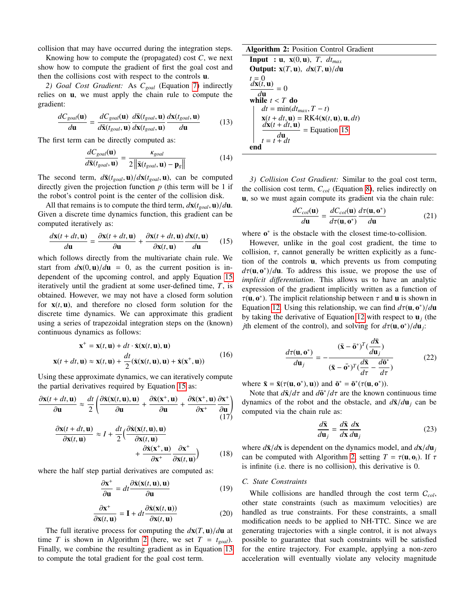collision that may have occurred during the integration steps.

Knowing how to compute the (propagated) cost *C*, we next show how to compute the gradient of first the goal cost and then the collisions cost with respect to the controls u.

*2) Goal Cost Gradient:* As *Cgoal* (Equation [7\)](#page-2-2) indirectly relies on u, we must apply the chain rule to compute the gradient:

<span id="page-4-3"></span>
$$
\frac{dC_{goal}(\mathbf{u})}{d\mathbf{u}} = \frac{dC_{goal}(\mathbf{u})}{d\bar{\mathbf{x}}(t_{goal}, \mathbf{u})} \frac{d\bar{\mathbf{x}}(t_{goal}, \mathbf{u})}{d\mathbf{x}(t_{goal}, \mathbf{u})} \frac{d\mathbf{x}(t_{goal}, \mathbf{u})}{d\mathbf{u}}
$$
(13)

The first term can be directly computed as:

$$
\frac{dC_{goal}(\mathbf{u})}{d\bar{\mathbf{x}}(t_{goal}, \mathbf{u})} = \frac{\kappa_{goal}}{2\left\| \bar{\mathbf{x}}(t_{goal}, \mathbf{u}) - \mathbf{p}_g \right\|}
$$
(14)

The second term,  $d\bar{\mathbf{x}}(t_{goal}, \mathbf{u})/d\mathbf{x}(t_{goal}, \mathbf{u})$ , can be computed directly given the projection function  $p$  (this term will be 1 if the robot's control point is the center of the collision disk.

All that remains is to compute the third term,  $d\mathbf{x}(t_{goal}, \mathbf{u})/d\mathbf{u}$ . Given a discrete time dynamics function, this gradient can be computed iteratively as:

<span id="page-4-1"></span>
$$
\frac{d\mathbf{x}(t+dt,\mathbf{u})}{d\mathbf{u}} = \frac{\partial \mathbf{x}(t+dt,\mathbf{u})}{\partial \mathbf{u}} + \frac{\partial \mathbf{x}(t+dt,\mathbf{u})}{\partial \mathbf{x}(t,\mathbf{u})} \frac{d\mathbf{x}(t,\mathbf{u})}{d\mathbf{u}} \quad (15)
$$

 $d\mathbf{u}$   $\frac{\partial \mathbf{u}}{\partial \mathbf{x}(t, \mathbf{u})}$   $d\mathbf{u}$   $\frac{\partial \mathbf{x}(t, \mathbf{u})}{\partial \mathbf{x}(t, \mathbf{u})}$  which follows directly from the multivariate chain rule. We start from  $d\mathbf{x}(0, \mathbf{u})/d\mathbf{u} = 0$ , as the current position is independent of the upcoming control, and apply Equation [15](#page-4-1) iteratively until the gradient at some user-defined time, *T*, is obtained. However, we may not have a closed form solution for  $\mathbf{x}(t, \mathbf{u})$ , and therefore no closed form solution for the discrete time dynamics. We can approximate this gradient using a series of trapezoidal integration steps on the (known) continuous dynamics as follows:

$$
\mathbf{x}^+ = \mathbf{x}(t, \mathbf{u}) + dt \cdot \dot{\mathbf{x}}(\mathbf{x}(t, \mathbf{u}), \mathbf{u})
$$
  

$$
\mathbf{x}(t + dt, \mathbf{u}) \approx \mathbf{x}(t, \mathbf{u}) + \frac{dt}{2}(\dot{\mathbf{x}}(\mathbf{x}(t, \mathbf{u}), \mathbf{u}) + \dot{\mathbf{x}}(\mathbf{x}^+, \mathbf{u}))
$$
(16)

Using these approximate dynamics, we can iteratively compute the partial derivatives required by Equation [15](#page-4-1) as:

$$
\frac{\partial \mathbf{x}(t+dt, \mathbf{u})}{\partial \mathbf{u}} \approx \frac{dt}{2} \left( \frac{\partial \dot{\mathbf{x}}(\mathbf{x}(t, \mathbf{u}), \mathbf{u})}{\partial \mathbf{u}} + \frac{\partial \dot{\mathbf{x}}(\mathbf{x}^+, \mathbf{u})}{\partial \mathbf{u}} + \frac{\partial \dot{\mathbf{x}}(\mathbf{x}^+, \mathbf{u})}{\partial \mathbf{x}^+} \frac{\partial \mathbf{x}^+}{\partial \mathbf{u}} \right)
$$
(17)

$$
\frac{\partial \mathbf{x}(t + dt, \mathbf{u})}{\partial \mathbf{x}(t, \mathbf{u})} \approx I + \frac{dt}{2} \Big( \frac{\partial \dot{\mathbf{x}}(\mathbf{x}(t, \mathbf{u}), \mathbf{u})}{\partial \mathbf{x}(t, \mathbf{u})} + \frac{\partial \dot{\mathbf{x}}(\mathbf{x}^+, \mathbf{u})}{\partial \mathbf{x}^+} \frac{\partial \mathbf{x}^+}{\partial \mathbf{x}(t, \mathbf{u})} \Big)
$$
(18)  
where the half step partial derivatives are computed as:

$$
\frac{\partial \mathbf{x}^+}{\partial \mathbf{u}} = dt \frac{\partial \dot{\mathbf{x}}(\mathbf{x}(t, \mathbf{u}), \mathbf{u})}{\partial \mathbf{u}}
$$
(19)

$$
\frac{\partial \mathbf{x}^+}{\partial \mathbf{x}(t, \mathbf{u})} = \mathbf{I} + dt \frac{\partial \dot{\mathbf{x}}(\mathbf{x}(t, \mathbf{u}))}{\partial \mathbf{x}(t, \mathbf{u})}
$$
(20)

The full iterative process for computing the  $d\mathbf{x}(T, \mathbf{u})/d\mathbf{u}$  at  $T = T$  is shown in Algorithm 2 (here we set  $T = t$ ) time *T* is shown in Algorithm [2](#page-4-2) (here, we set  $T = t_{goal}$ ). Finally, we combine the resulting gradient as in Equation [13](#page-4-3) to compute the total gradient for the goal cost term.

Algorithm 2: Position Control Gradient

Input : u, 
$$
\mathbf{x}(0, \mathbf{u})
$$
,  $T$ ,  $dt_{max}$   
\nOutput:  $\mathbf{x}(T, \mathbf{u})$ ,  $d\mathbf{x}(T, \mathbf{u})/d\mathbf{u}$   
\n $\frac{t=0}{d\mathbf{x}(t, \mathbf{u})} = 0$   
\nwhile  $t < T$  do  
\n $dt = min(dt_{max}, T - t)$   
\n $\mathbf{x}(t + dt, \mathbf{u}) = \text{RK4}(\mathbf{x}(t, \mathbf{u}), \mathbf{u}, dt)$   
\n $\frac{d\mathbf{x}(t + dt, \mathbf{u})}{d\mathbf{u}} = \text{Equation 15}$   
\n $t = t + dt$ 

<span id="page-4-2"></span>*3) Collision Cost Gradient:* Similar to the goal cost term, the collision cost term, *Ccol* (Equation [8\)](#page-2-3), relies indirectly on u, so we must again compute its gradient via the chain rule:

$$
\frac{dC_{col}(\mathbf{u})}{d\mathbf{u}} = \frac{dC_{col}(\mathbf{u})}{d\tau(\mathbf{u}, \mathbf{o}^*)} \frac{d\tau(\mathbf{u}, \mathbf{o}^*)}{d\mathbf{u}} \tag{21}
$$

where  $o^*$  is the obstacle with the closest time-to-collision.

However, unlike in the goal cost gradient, the time to collision,  $\tau$ , cannot generally be written explicitly as a function of the controls u, which prevents us from computing  $d\tau(\mathbf{u}, \mathbf{o}^*)/d\mathbf{u}$ . To address this issue, we propose the use of *implicit differentiation*. This allows us to have an analytic *implicit di*ff*erentiation*. This allows us to have an analytic expression of the gradient implicitly written as a function of  $\tau(\mathbf{u}, \mathbf{o}^*)$ . The implicit relationship between  $\tau$  and  $\mathbf{u}$  is shown in Equation 12. Heing this relationship we can find  $d\tau(\mathbf{u}, \mathbf{o}^*)/d\mathbf{u}$ Equation [12.](#page-3-1) Using this relationship, we can find  $d\tau(\mathbf{u}, \mathbf{o}^*)/d\mathbf{u}$ <br>by taking the derivative of Equation 12 with respect to **u**. (the by taking the derivative of Equation [12](#page-3-1) with respect to u*<sup>j</sup>* (the *j*th element of the control), and solving for  $d\tau(\mathbf{u}, \mathbf{o}^*)/d\mathbf{u}_j$ :

<span id="page-4-4"></span>
$$
\frac{d\tau(\mathbf{u}, \mathbf{o}^*)}{d\mathbf{u}_j} = -\frac{(\bar{\mathbf{x}} - \bar{\mathbf{o}}^*)^T (\frac{d\bar{\mathbf{x}}}{d\mathbf{u}_j})}{(\bar{\mathbf{x}} - \bar{\mathbf{o}}^*)^T (\frac{d\bar{\mathbf{x}}}{d\tau} - \frac{d\bar{\mathbf{o}}^*}{d\tau})}
$$
(22)

where  $\bar{\mathbf{x}} = \bar{\mathbf{x}}(\tau(\mathbf{u}, \mathbf{o}^*), \mathbf{u})$  and  $\bar{\mathbf{o}}^* = \bar{\mathbf{o}}^*(\tau(\mathbf{u}, \mathbf{o}^*))$ .<br>Note that  $d\bar{\mathbf{x}}/d\tau$  and  $d\bar{\mathbf{a}}^*/d\tau$  are the known

Note that  $d\bar{\mathbf{x}}/d\tau$  and  $d\bar{\mathbf{o}}^*/d\tau$  are the known continuous time<br>namics of the robot and the obstacle, and  $d\bar{\mathbf{x}}/d\mathbf{u}$ , can be dynamics of the robot and the obstacle, and  $d\bar{x}/du_j$  can be computed via the chain rule as:

$$
\frac{d\bar{\mathbf{x}}}{d\mathbf{u}_j} = \frac{d\bar{\mathbf{x}}}{d\mathbf{x}} \frac{d\mathbf{x}}{d\mathbf{u}_j}
$$
(23)

where  $d\bar{x}/dx$  is dependent on the dynamics model, and  $d\bar{x}/du_j$ can be computed with Algorithm [2,](#page-4-2) setting  $T = \tau(\mathbf{u}, \mathbf{o}_i)$ . If  $\tau$ is infinite (i.e. there is no collision), this derivative is 0.

# <span id="page-4-0"></span>*C. State Constraints*

While collisions are handled through the cost term C*col*, other state constraints (such as maximum velocities) are handled as true constraints. For these constraints, a small modification needs to be applied to NH-TTC. Since we are generating trajectories with a single control, it is not always possible to guarantee that such constraints will be satisfied for the entire trajectory. For example, applying a non-zero acceleration will eventually violate any velocity magnitude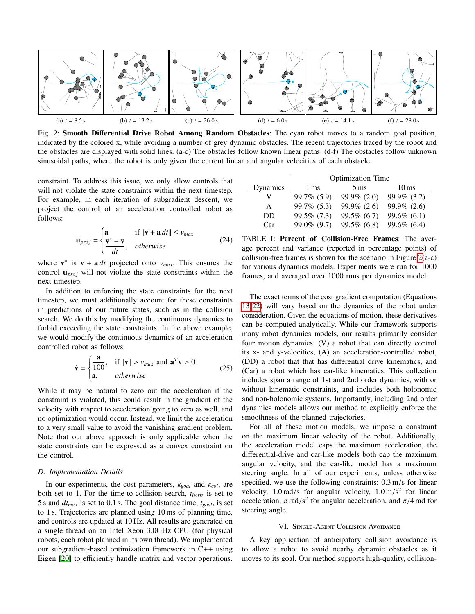<span id="page-5-0"></span>

Fig. 2: Smooth Differential Drive Robot Among Random Obstacles: The cyan robot moves to a random goal position, indicated by the colored x, while avoiding a number of grey dynamic obstacles. The recent trajectories traced by the robot and the obstacles are displayed with solid lines. (a-c) The obstacles follow known linear paths. (d-f) The obstacles follow unknown sinusoidal paths, where the robot is only given the current linear and angular velocities of each obstacle.

constraint. To address this issue, we only allow controls that will not violate the state constraints within the next timestep. For example, in each iteration of subgradient descent, we project the control of an acceleration controlled robot as follows:

$$
\mathbf{u}_{proj} = \begin{cases} \mathbf{a} & \text{if } ||\mathbf{v} + \mathbf{a} \, dt|| \le v_{max} \\ \frac{\mathbf{v}^* - \mathbf{v}}{dt}, & otherwise \end{cases} \tag{24}
$$

where  $\mathbf{v}^*$  is  $\mathbf{v} + \mathbf{a} dt$  projected onto  $v_{max}$ . This ensures the control  $\mathbf{u}_{proj}$  will not violate the state constraints within the next timestep.

In addition to enforcing the state constraints for the next timestep, we must additionally account for these constraints in predictions of our future states, such as in the collision search. We do this by modifying the continuous dynamics to forbid exceeding the state constraints. In the above example, we would modify the continuous dynamics of an acceleration controlled robot as follows:

$$
\dot{\mathbf{v}} = \begin{cases} \frac{\mathbf{a}}{100}, & \text{if } ||\mathbf{v}|| > v_{max} \text{ and } \mathbf{a}^T \mathbf{v} > 0\\ \mathbf{a}, & otherwise \end{cases}
$$
(25)

While it may be natural to zero out the acceleration if the constraint is violated, this could result in the gradient of the velocity with respect to acceleration going to zero as well, and no optimization would occur. Instead, we limit the acceleration to a very small value to avoid the vanishing gradient problem. Note that our above approach is only applicable when the state constraints can be expressed as a convex constraint on the control.

# *D. Implementation Details*

In our experiments, the cost parameters, <sup>κ</sup>*goal* and <sup>κ</sup>*col*, are both set to 1. For the time-to-collision search, *thoriz* is set to 5 s and *dtmax* is set to 0.1 s. The goal distance time, *tgoal*, is set to 1 s. Trajectories are planned using 10 ms of planning time, and controls are updated at 10 Hz. All results are generated on a single thread on an Intel Xeon 3.0GHz CPU (for physical robots, each robot planned in its own thread). We implemented our subgradient-based optimization framework in C++ using Eigen [\[20\]](#page-8-25) to efficiently handle matrix and vector operations.

<span id="page-5-1"></span>

|          | Optimization Time |                   |               |
|----------|-------------------|-------------------|---------------|
| Dynamics | 1 ms              | $5 \,\mathrm{ms}$ | 10 ms         |
|          | 99.7% (5.9)       | $99.9\%$ (2.0)    | 99.9% (3.2)   |
| A        | 99.7% (5.3)       | $99.9\%$ (2.6)    | 99.9% (2.6)   |
| DD       | 99.5% (7.3)       | $99.5\%$ (6.7)    | 99.6% $(6.1)$ |
| Car      | 99.0% (9.7)       | $99.5\%$ (6.8)    | 99.6% (6.4)   |
|          |                   |                   |               |

TABLE I: Percent of Collision-Free Frames: The average percent and variance (reported in percentage points) of collision-free frames is shown for the scenario in Figure [2\(](#page-5-0)a-c) for various dynamics models. Experiments were run for 1000 frames, and averaged over 1000 runs per dynamics model.

The exact terms of the cost gradient computation (Equations [13](#page-4-3)[-22\)](#page-4-4) will vary based on the dynamics of the robot under consideration. Given the equations of motion, these derivatives can be computed analytically. While our framework supports many robot dynamics models, our results primarily consider four motion dynamics: (V) a robot that can directly control its x- and y-velocities, (A) an acceleration-controlled robot, (DD) a robot that that has differential drive kinematics, and (Car) a robot which has car-like kinematics. This collection includes span a range of 1st and 2nd order dynamics, with or without kinematic constraints, and includes both holonomic and non-holonomic systems. Importantly, including 2nd order dynamics models allows our method to explicitly enforce the smoothness of the planned trajectories.

For all of these motion models, we impose a constraint on the maximum linear velocity of the robot. Additionally, the acceleration model caps the maximum acceleration, the differential-drive and car-like models both cap the maximum angular velocity, and the car-like model has a maximum steering angle. In all of our experiments, unless otherwise specified, we use the following constraints: 0.3 m/s for linear velocity, 1.0 rad/s for angular velocity,  $1.0 \text{ m/s}^2$  for linear<br>acceleration  $\pi$  rad/s<sup>2</sup> for angular acceleration and  $\pi/4$  rad for acceleration,  $\pi$  rad/s<sup>2</sup> for angular acceleration, and  $\pi/4$  rad for steering angle steering angle.

## VI. Single-Agent Collision Avoidance

A key application of anticipatory collision avoidance is to allow a robot to avoid nearby dynamic obstacles as it moves to its goal. Our method supports high-quality, collision-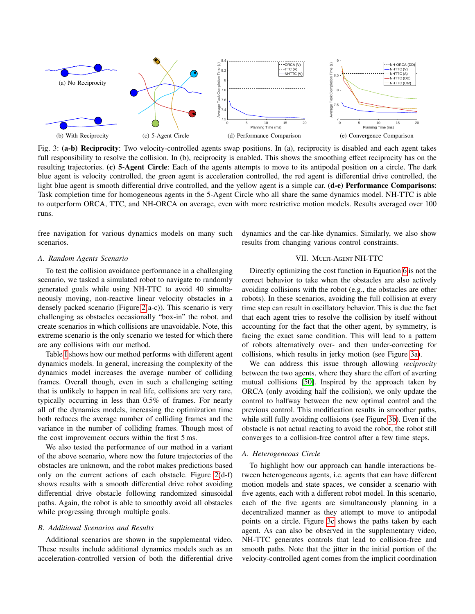<span id="page-6-1"></span>

<span id="page-6-3"></span><span id="page-6-2"></span>Fig. 3: (a-b) Reciprocity: Two velocity-controlled agents swap positions. In (a), reciprocity is disabled and each agent takes full responsibility to resolve the collision. In (b), reciprocity is enabled. This shows the smoothing effect reciprocity has on the resulting trajectories. (c) 5-Agent Circle: Each of the agents attempts to move to its antipodal position on a circle. The dark blue agent is velocity controlled, the green agent is acceleration controlled, the red agent is differential drive controlled, the light blue agent is smooth differential drive controlled, and the yellow agent is a simple car. (d-e) Performance Comparisons: Task completion time for homogeneous agents in the 5-Agent Circle who all share the same dynamics model. NH-TTC is able to outperform ORCA, TTC, and NH-ORCA on average, even with more restrictive motion models. Results averaged over 100 runs.

free navigation for various dynamics models on many such scenarios.

<span id="page-6-5"></span><span id="page-6-4"></span>dynamics and the car-like dynamics. Similarly, we also show results from changing various control constraints.

# *A. Random Agents Scenario*

To test the collision avoidance performance in a challenging scenario, we tasked a simulated robot to navigate to randomly generated goals while using NH-TTC to avoid 40 simultaneously moving, non-reactive linear velocity obstacles in a densely packed scenario (Figure [2\(](#page-5-0)a-c)). This scenario is very challenging as obstacles occasionally "box-in" the robot, and create scenarios in which collisions are unavoidable. Note, this extreme scenario is the only scenario we tested for which there are any collisions with our method.

Table [I](#page-5-1) shows how our method performs with different agent dynamics models. In general, increasing the complexity of the dynamics model increases the average number of colliding frames. Overall though, even in such a challenging setting that is unlikely to happen in real life, collisions are very rare, typically occurring in less than 0.5% of frames. For nearly all of the dynamics models, increasing the optimization time both reduces the average number of colliding frames and the variance in the number of colliding frames. Though most of the cost improvement occurs within the first 5 ms.

We also tested the performance of our method in a variant of the above scenario, where now the future trajectories of the obstacles are unknown, and the robot makes predictions based only on the current actions of each obstacle. Figure [2\(](#page-5-0)d-f) shows results with a smooth differential drive robot avoiding differential drive obstacle following randomized sinusoidal paths. Again, the robot is able to smoothly avoid all obstacles while progressing through multiple goals.

#### *B. Additional Scenarios and Results*

Additional scenarios are shown in the supplemental video. These results include additional dynamics models such as an acceleration-controlled version of both the differential drive

# VII. MULTI-AGENT NH-TTC

<span id="page-6-0"></span>Directly optimizing the cost function in Equation [6](#page-2-1) is not the correct behavior to take when the obstacles are also actively avoiding collisions with the robot (e.g., the obstacles are other robots). In these scenarios, avoiding the full collision at every time step can result in oscillatory behavior. This is due the fact that each agent tries to resolve the collision by itself without accounting for the fact that the other agent, by symmetry, is facing the exact same condition. This will lead to a pattern of robots alternatively over- and then under-correcting for collisions, which results in jerky motion (see Figure [3a\)](#page-6-1).

We can address this issue through allowing *reciprocity* between the two agents, where they share the effort of averting mutual collisions [\[50\]](#page-9-5). Inspired by the approach taken by ORCA (only avoiding half the collision), we only update the control to halfway between the new optimal control and the previous control. This modification results in smoother paths, while still fully avoiding collisions (see Figure [3b\)](#page-6-2). Even if the obstacle is not actual reacting to avoid the robot, the robot still converges to a collision-free control after a few time steps.

#### *A. Heterogeneous Circle*

To highlight how our approach can handle interactions between heterogeneous agents, i.e. agents that can have different motion models and state spaces, we consider a scenario with five agents, each with a different robot model. In this scenario, each of the five agents are simultaneously planning in a decentralized manner as they attempt to move to antipodal points on a circle. Figure [3c](#page-6-3) shows the paths taken by each agent. As can also be observed in the supplementary video, NH-TTC generates controls that lead to collision-free and smooth paths. Note that the jitter in the initial portion of the velocity-controlled agent comes from the implicit coordination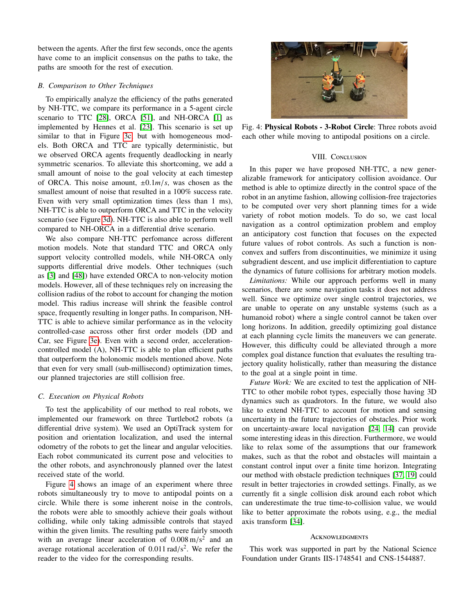between the agents. After the first few seconds, once the agents have come to an implicit consensus on the paths to take, the paths are smooth for the rest of execution.

# *B. Comparison to Other Techniques*

To empirically analyze the efficiency of the paths generated by NH-TTC, we compare its performance in a 5-agent circle scenario to TTC [\[28\]](#page-8-7), ORCA [\[51\]](#page-9-1), and NH-ORCA [\[1\]](#page-8-18) as implemented by Hennes et al. [\[23\]](#page-8-26). This scenario is set up similar to that in Figure [3c,](#page-6-3) but with homogeneous models. Both ORCA and TTC are typically deterministic, but we observed ORCA agents frequently deadlocking in nearly symmetric scenarios. To alleviate this shortcoming, we add a small amount of noise to the goal velocity at each timestep of ORCA. This noise amount, <sup>±</sup>0.1*m*/*s*, was chosen as the smallest amount of noise that resulted in a  $100\%$  success rate. Even with very small optimization times (less than 1 ms), NH-TTC is able to outperform ORCA and TTC in the velocity scenario (see Figure [3d\)](#page-6-4). NH-TTC is also able to perform well compared to NH-ORCA in a differential drive scenario.

We also compare NH-TTC perfomance across different motion models. Note that standard TTC and ORCA only support velocity controlled models, while NH-ORCA only supports differential drive models. Other techniques (such as [\[3\]](#page-8-4) and [\[48\]](#page-9-14)) have extended ORCA to non-velocity motion models. However, all of these techniques rely on increasing the collision radius of the robot to account for changing the motion model. This radius increase will shrink the feasible control space, frequently resulting in longer paths. In comparison, NH-TTC is able to achieve similar performance as in the velocity controlled-case accross other first order models (DD and Car, see Figure [3e\)](#page-6-5). Even with a second order, accelerationcontrolled model (A), NH-TTC is able to plan efficient paths that outperform the holonomic models mentioned above. Note that even for very small (sub-millisecond) optimization times, our planned trajectories are still collision free.

#### *C. Execution on Physical Robots*

To test the applicability of our method to real robots, we implemented our framework on three Turtlebot2 robots (a differential drive system). We used an OptiTrack system for position and orientation localization, and used the internal odometry of the robots to get the linear and angular velocities. Each robot communicated its current pose and velocities to the other robots, and asynchronously planned over the latest received state of the world.

Figure [4](#page-7-0) shows an image of an experiment where three robots simultaneously try to move to antipodal points on a circle. While there is some inherent noise in the controls, the robots were able to smoothly achieve their goals without colliding, while only taking admissible controls that stayed within the given limits. The resulting paths were fairly smooth with an average linear acceleration of  $0.008 \text{ m/s}^2$  and an average rotational acceleration of  $0.011 \text{ rad/s}^2$ . We refer the average rotational acceleration of  $0.011 \text{ rad/s}^2$ . We refer the reader to the video for the corresponding results reader to the video for the corresponding results.

<span id="page-7-0"></span>

Fig. 4: Physical Robots - 3-Robot Circle: Three robots avoid each other while moving to antipodal positions on a circle.

### VIII. CONCLUSION

In this paper we have proposed NH-TTC, a new generalizable framework for anticipatory collision avoidance. Our method is able to optimize directly in the control space of the robot in an anytime fashion, allowing collision-free trajectories to be computed over very short planning times for a wide variety of robot motion models. To do so, we cast local navigation as a control optimization problem and employ an anticipatory cost function that focuses on the expected future values of robot controls. As such a function is nonconvex and suffers from discontinuities, we minimize it using subgradient descent, and use implicit differentiation to capture the dynamics of future collisions for arbitrary motion models.

*Limitations:* While our approach performs well in many scenarios, there are some navigation tasks it does not address well. Since we optimize over single control trajectories, we are unable to operate on any unstable systems (such as a humanoid robot) where a single control cannot be taken over long horizons. In addition, greedily optimizing goal distance at each planning cycle limits the maneuvers we can generate. However, this difficulty could be alleviated through a more complex goal distance function that evaluates the resulting trajectory quality holistically, rather than measuring the distance to the goal at a single point in time.

*Future Work:* We are excited to test the application of NH-TTC to other mobile robot types, especially those having 3D dynamics such as quadrotors. In the future, we would also like to extend NH-TTC to account for motion and sensing uncertainty in the future trajectories of obstacles. Prior work on uncertainty-aware local navigation [\[24,](#page-8-27) [14\]](#page-8-14) can provide some interesting ideas in this direction. Furthermore, we would like to relax some of the assumptions that our framework makes, such as that the robot and obstacles will maintain a constant control input over a finite time horizon. Integrating our method with obstacle prediction techniques [\[37,](#page-9-24) [19\]](#page-8-28) could result in better trajectories in crowded settings. Finally, as we currently fit a single collision disk around each robot which can underestimate the true time-to-collision value, we would like to better approximate the robots using, e.g., the medial axis transform [\[34\]](#page-9-25).

#### **ACKNOWLEDGMENTS**

This work was supported in part by the National Science Foundation under Grants IIS-1748541 and CNS-1544887.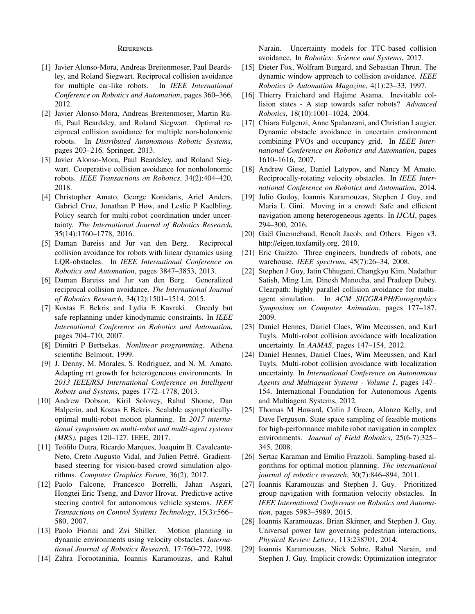#### **REFERENCES**

- <span id="page-8-18"></span>[1] Javier Alonso-Mora, Andreas Breitenmoser, Paul Beardsley, and Roland Siegwart. Reciprocal collision avoidance for multiple car-like robots. In *IEEE International Conference on Robotics and Automation*, pages 360–366, 2012.
- <span id="page-8-17"></span>[2] Javier Alonso-Mora, Andreas Breitenmoser, Martin Rufli, Paul Beardsley, and Roland Siegwart. Optimal reciprocal collision avoidance for multiple non-holonomic robots. In *Distributed Autonomous Robotic Systems*, pages 203–216. Springer, 2013.
- <span id="page-8-4"></span>[3] Javier Alonso-Mora, Paul Beardsley, and Roland Siegwart. Cooperative collision avoidance for nonholonomic robots. *IEEE Transactions on Robotics*, 34(2):404–420, 2018.
- <span id="page-8-21"></span>[4] Christopher Amato, George Konidaris, Ariel Anders, Gabriel Cruz, Jonathan P How, and Leslie P Kaelbling. Policy search for multi-robot coordination under uncertainty. *The International Journal of Robotics Research*, 35(14):1760–1778, 2016.
- <span id="page-8-11"></span>[5] Daman Bareiss and Jur van den Berg. Reciprocal collision avoidance for robots with linear dynamics using LQR-obstacles. In *IEEE International Conference on Robotics and Automation*, pages 3847–3853, 2013.
- <span id="page-8-5"></span>[6] Daman Bareiss and Jur van den Berg. Generalized reciprocal collision avoidance. *The International Journal of Robotics Research*, 34(12):1501–1514, 2015.
- <span id="page-8-2"></span>[7] Kostas E Bekris and Lydia E Kavraki. Greedy but safe replanning under kinodynamic constraints. In *IEEE International Conference on Robotics and Automation*, pages 704–710, 2007.
- <span id="page-8-24"></span>[8] Dimitri P Bertsekas. *Nonlinear programming*. Athena scientific Belmont, 1999.
- <span id="page-8-20"></span>[9] J. Denny, M. Morales, S. Rodriguez, and N. M. Amato. Adapting rrt growth for heterogeneous environments. In *2013 IEEE*/*RSJ International Conference on Intelligent Robots and Systems*, pages 1772–1778, 2013.
- <span id="page-8-19"></span>[10] Andrew Dobson, Kiril Solovey, Rahul Shome, Dan Halperin, and Kostas E Bekris. Scalable asymptoticallyoptimal multi-robot motion planning. In *2017 international symposium on multi-robot and multi-agent systems (MRS)*, pages 120–127. IEEE, 2017.
- <span id="page-8-15"></span>[11] Teófilo Dutra, Ricardo Marques, Joaquim B. Cavalcante-Neto, Creto Augusto Vidal, and Julien Pettré. Gradientbased steering for vision-based crowd simulation algorithms. *Computer Graphics Forum*, 36(2), 2017.
- <span id="page-8-22"></span>[12] Paolo Falcone, Francesco Borrelli, Jahan Asgari, Hongtei Eric Tseng, and Davor Hrovat. Predictive active steering control for autonomous vehicle systems. *IEEE Transactions on Control Systems Technology*, 15(3):566– 580, 2007.
- <span id="page-8-6"></span>[13] Paolo Fiorini and Zvi Shiller. Motion planning in dynamic environments using velocity obstacles. *International Journal of Robotics Research*, 17:760–772, 1998.
- <span id="page-8-14"></span>[14] Zahra Forootaninia, Ioannis Karamouzas, and Rahul

Narain. Uncertainty models for TTC-based collision avoidance. In *Robotics: Science and Systems*, 2017.

- <span id="page-8-8"></span>[15] Dieter Fox, Wolfram Burgard, and Sebastian Thrun. The dynamic window approach to collision avoidance. *IEEE Robotics* & *Automation Magazine*, 4(1):23–33, 1997.
- <span id="page-8-9"></span>[16] Thierry Fraichard and Hajime Asama. Inevitable collision states - A step towards safer robots? *Advanced Robotics*, 18(10):1001–1024, 2004.
- <span id="page-8-13"></span>[17] Chiara Fulgenzi, Anne Spalanzani, and Christian Laugier. Dynamic obstacle avoidance in uncertain environment combining PVOs and occupancy grid. In *IEEE International Conference on Robotics and Automation*, pages 1610–1616, 2007.
- <span id="page-8-16"></span>[18] Andrew Giese, Daniel Latypov, and Nancy M Amato. Reciprocally-rotating velocity obstacles. In *IEEE International Conference on Robotics and Automation*, 2014.
- <span id="page-8-28"></span>[19] Julio Godoy, Ioannis Karamouzas, Stephen J Guy, and Maria L Gini. Moving in a crowd: Safe and efficient navigation among heterogeneous agents. In *IJCAI*, pages 294–300, 2016.
- <span id="page-8-25"></span>[20] Gaël Guennebaud, Benoît Jacob, and Others. Eigen v3. http://eigen.tuxfamily.org, 2010.
- <span id="page-8-1"></span>[21] Eric Guizzo. Three engineers, hundreds of robots, one warehouse. *IEEE spectrum*, 45(7):26–34, 2008.
- <span id="page-8-10"></span>[22] Stephen J Guy, Jatin Chhugani, Changkyu Kim, Nadathur Satish, Ming Lin, Dinesh Manocha, and Pradeep Dubey. Clearpath: highly parallel collision avoidance for multiagent simulation. In *ACM SIGGRAPH*/*Eurographics Symposium on Computer Animation*, pages 177–187, 2009.
- <span id="page-8-26"></span>[23] Daniel Hennes, Daniel Claes, Wim Meeussen, and Karl Tuyls. Multi-robot collision avoidance with localization uncertainty. In *AAMAS*, pages 147–154, 2012.
- <span id="page-8-27"></span>[24] Daniel Hennes, Daniel Claes, Wim Meeussen, and Karl Tuyls. Multi-robot collision avoidance with localization uncertainty. In *International Conference on Autonomous Agents and Multiagent Systems - Volume 1*, pages 147– 154. International Foundation for Autonomous Agents and Multiagent Systems, 2012.
- <span id="page-8-0"></span>[25] Thomas M Howard, Colin J Green, Alonzo Kelly, and Dave Ferguson. State space sampling of feasible motions for high-performance mobile robot navigation in complex environments. *Journal of Field Robotics*, 25(6-7):325– 345, 2008.
- <span id="page-8-3"></span>[26] Sertac Karaman and Emilio Frazzoli. Sampling-based algorithms for optimal motion planning. *The international journal of robotics research*, 30(7):846–894, 2011.
- <span id="page-8-12"></span>[27] Ioannis Karamouzas and Stephen J. Guy. Prioritized group navigation with formation velocity obstacles. In *IEEE International Conference on Robotics and Automation*, pages 5983–5989, 2015.
- <span id="page-8-7"></span>[28] Ioannis Karamouzas, Brian Skinner, and Stephen J. Guy. Universal power law governing pedestrian interactions. *Physical Review Letters*, 113:238701, 2014.
- <span id="page-8-23"></span>[29] Ioannis Karamouzas, Nick Sohre, Rahul Narain, and Stephen J. Guy. Implicit crowds: Optimization integrator